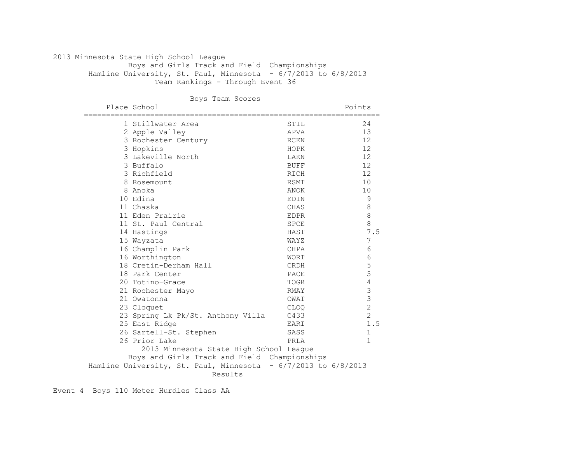## 2013 Minnesota State High School League Boys and Girls Track and Field Championships Hamline University, St. Paul, Minnesota - 6/7/2013 to 6/8/2013 Team Rankings - Through Event 36

Boys Team Scores

| Place School                                                   |             | Points                                |
|----------------------------------------------------------------|-------------|---------------------------------------|
| 1 Stillwater Area                                              | STIL        | 24                                    |
| 2 Apple Valley                                                 | APVA        | 13                                    |
| 3 Rochester Century                                            | RCEN        | 12                                    |
| 3 Hopkins                                                      | HOPK        | 12                                    |
| 3 Lakeville North                                              | LAKN        | 12                                    |
| 3 Buffalo                                                      | BUFF        | 12                                    |
| 3 Richfield                                                    | RICH        | 12                                    |
| 8 Rosemount                                                    | RSMT        | 10                                    |
| 8 Anoka                                                        | ANOK        | 10                                    |
| 10 Edina                                                       | EDIN        | $\mathsf 9$                           |
| 11 Chaska                                                      | CHAS        | $\,8\,$                               |
| 11 Eden Prairie                                                | <b>EDPR</b> | $\,8\,$                               |
| 11 St. Paul Central                                            | <b>SPCE</b> | 8                                     |
| 14 Hastings                                                    | HAST        | 7.5                                   |
| 15 Wayzata                                                     | WAYZ        | 7                                     |
| 16 Champlin Park                                               | CHPA        | 6                                     |
| 16 Worthington                                                 | <b>WORT</b> | 6                                     |
| 18 Cretin-Derham Hall                                          | CRDH        | 5                                     |
| 18 Park Center                                                 | PACE        | 5                                     |
| 20 Totino-Grace                                                | TOGR        | 4                                     |
| 21 Rochester Mayo                                              | RMAY        | 3                                     |
| 21 Owatonna                                                    | OWAT        | $\begin{array}{c} 3 \\ 2 \end{array}$ |
| 23 Cloquet                                                     | <b>CLOQ</b> |                                       |
| 23 Spring Lk Pk/St. Anthony Villa                              | C433        | $\overline{c}$                        |
| 25 East Ridge                                                  | EARI        | 1.5                                   |
| 26 Sartell-St. Stephen                                         | SASS        | 1                                     |
| 26 Prior Lake                                                  | PRLA        | $\mathbf{1}$                          |
| 2013 Minnesota State High School League                        |             |                                       |
| Boys and Girls Track and Field Championships                   |             |                                       |
| Hamline University, St. Paul, Minnesota - 6/7/2013 to 6/8/2013 |             |                                       |
| Results                                                        |             |                                       |

Event 4 Boys 110 Meter Hurdles Class AA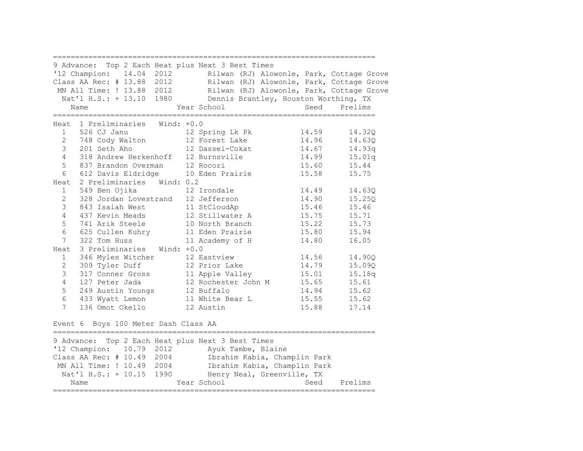| 9 Advance: Top 2 Each Heat plus Next 3 Best Times<br>'12 Champion: 14.04 2012<br>Rilwan (RJ) Alowonle, Park, Cottage Grove<br>Class AA Rec: # 13.88 2012<br>Rilwan (RJ) Alowonle, Park, Cottage Grove<br>MN All Time: ! 13.88 2012<br>Rilwan (RJ) Alowonle, Park, Cottage Grove<br>Nat'l H.S.: + 13.10 1980 Dennis Brantley, Houston Worthing, TX<br>Year School<br>Seed Prelims<br>Name<br>================<br>-------------------------                                                                                                                                                                                                                                                                                                                                                                                                                                                                                                                                                                                                                                                                                                                                                                             |
|-----------------------------------------------------------------------------------------------------------------------------------------------------------------------------------------------------------------------------------------------------------------------------------------------------------------------------------------------------------------------------------------------------------------------------------------------------------------------------------------------------------------------------------------------------------------------------------------------------------------------------------------------------------------------------------------------------------------------------------------------------------------------------------------------------------------------------------------------------------------------------------------------------------------------------------------------------------------------------------------------------------------------------------------------------------------------------------------------------------------------------------------------------------------------------------------------------------------------|
| Heat 1 Preliminaries Wind: +0.0<br>12 Spring Lk Pk<br>14.59<br>$1 \quad$<br>526 CJ Janu<br>14.32Q<br>$2 \overline{2}$<br>748 Cody Walton 12 Forest Lake<br>14.96<br>14.630<br>$\mathcal{S}$<br>14.67<br>14.93q<br>$\overline{4}$<br>318 Andrew Herkenhoff 12 Burnsville<br>14.99<br>15.01q<br>5<br>15.44<br>837 Brandon Overman 12 Rocori<br>15.60<br>15.58<br>6<br>612 Davis Eldridge 10 Eden Prairie<br>15.75<br>2 Preliminaries Wind: 0.2<br>Heat<br>549 Ben Ojika 12 Irondale<br>14.49<br>14.63Q<br>1<br>$\mathbf{2}$<br>14.90<br>328 Jordan Lovestrand 12 Jefferson<br>15.25Q<br>3<br>843 Isaiah West 11 StCloudAp<br>15.46<br>15.46<br>437 Kevin Meads 12 Stillwater A<br>15.75<br>$\overline{4}$<br>15.71<br>5<br>741 Arik Steele 10 North Branch<br>15.22<br>15.73<br>6<br>15.80<br>625 Cullen Kuhry 11 Eden Prairie<br>15.94<br>322 Tom Huss<br>7 <sup>7</sup><br>14.80<br>16.05<br>11 Academy of H<br>3 Preliminaries Wind: +0.0<br>Heat<br>346 Myles Witcher<br>14.56<br>12 Eastview<br>14.900<br>$1 \quad$<br>$\mathbf{2}$<br>309 Tyler Duff<br>12 Prior Lake<br>14.79<br>15.09Q<br>3<br>317 Conner Gross 11 Apple Valley<br>15.01<br>15.18q<br>4<br>12 Rochester John M 15.65<br>127 Peter Jada<br>15.61 |
| 5<br>14.94<br>15.62<br>249 Austin Youngs<br>12 Buffalo<br>15.62<br>6<br>433 Wyatt Lemon<br>15.55<br>11 White Bear L<br>$7^{\circ}$<br>15.88<br>136 Omot Okello<br>12 Austin<br>17.14                                                                                                                                                                                                                                                                                                                                                                                                                                                                                                                                                                                                                                                                                                                                                                                                                                                                                                                                                                                                                                  |
| $Ftront$ 6 $Ptron$ 100 Motor Dash Class $\lambda \lambda$                                                                                                                                                                                                                                                                                                                                                                                                                                                                                                                                                                                                                                                                                                                                                                                                                                                                                                                                                                                                                                                                                                                                                             |

Event 6 Boys 100 Meter Dash Class AA

|                            | 9 Advance: Top 2 Each Heat plus Next 3 Best Times |                 |
|----------------------------|---------------------------------------------------|-----------------|
| '12 Champion: 10.79 2012   | Ayuk Tambe, Blaine                                |                 |
| Class AA Rec: # 10.49 2004 | Ibrahim Kabia, Champlin Park                      |                 |
| MN All Time: ! 10.49 2004  | Ibrahim Kabia, Champlin Park                      |                 |
| Nat'l H.S.: + 10.15 1990   | Henry Neal, Greenville, TX                        |                 |
| Name                       | Year School                                       | Prelims<br>Seed |
|                            |                                                   |                 |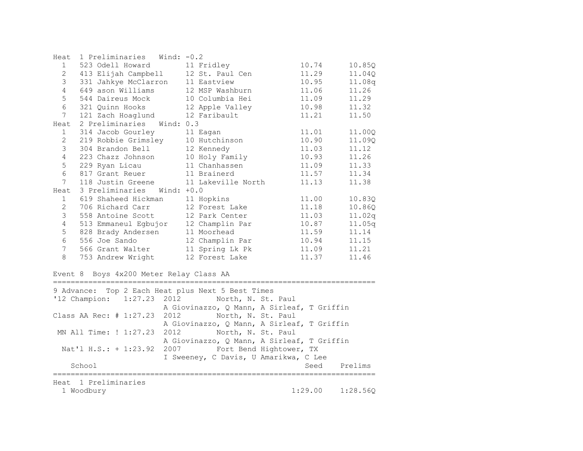| Heat            | 1 Preliminaries<br>Wind: $-0.2$      |                 |       |        |
|-----------------|--------------------------------------|-----------------|-------|--------|
| 1               | 523 Odell Howard 11 Fridley          |                 | 10.74 | 10.85Q |
| $\overline{2}$  | 413 Elijah Campbell 12 St. Paul Cen  |                 | 11.29 | 11.04Q |
| 3               | 331 Jahkye McClarron                 | 11 Eastview     | 10.95 | 11.08q |
| $\overline{4}$  | 649 ason Williams                    | 12 MSP Washburn | 11.06 | 11.26  |
| 5               | 544 Daireus Mock                     | 10 Columbia Hei | 11.09 | 11.29  |
| 6               | 321 Quinn Hooks 12 Apple Valley      |                 | 10.98 | 11.32  |
| $7\phantom{.0}$ | 121 Zach Hoaglund                    | 12 Faribault    | 11.21 | 11.50  |
| Heat            | 2 Preliminaries Wind: 0.3            |                 |       |        |
| 1               | 314 Jacob Gourley                    | 11 Eagan        | 11.01 | 11.00Q |
| $\overline{2}$  | 219 Robbie Grimsley 10 Hutchinson    |                 | 10.90 | 11.090 |
| 3               | 304 Brandon Bell                     | 12 Kennedy      | 11.03 | 11.12  |
| 4               | 223 Chazz Johnson                    | 10 Holy Family  | 10.93 | 11.26  |
| 5               | 229 Ryan Licau                       | 11 Chanhassen   | 11.09 | 11.33  |
| 6               | 817 Grant Reuer 11 Brainerd          |                 | 11.57 | 11.34  |
| $7\overline{ }$ | 118 Justin Greene 11 Lakeville North |                 | 11.13 | 11.38  |
| Heat            | 3 Preliminaries Wind: +0.0           |                 |       |        |
| $\mathbf{1}$    | 619 Shaheed Hickman                  | 11 Hopkins      | 11.00 | 10.83Q |
| $\overline{2}$  | 706 Richard Carr                     | 12 Forest Lake  | 11.18 | 10.86Q |
| 3               | 558 Antoine Scott                    | 12 Park Center  | 11.03 | 11.02q |
| $\overline{4}$  | 513 Emmaneul Egbujor                 | 12 Champlin Par | 10.87 | 11.05q |
| 5               | 828 Brady Andersen                   | 11 Moorhead     | 11.59 | 11.14  |
| 6               | 556 Joe Sando                        | 12 Champlin Par | 10.94 | 11.15  |
| 7               | 566 Grant Walter                     | 11 Spring Lk Pk | 11.09 | 11.21  |
| 8               | 753 Andrew Wright                    | 12 Forest Lake  | 11.37 | 11.46  |

## Event 8 Boys 4x200 Meter Relay Class AA

========================================================================= 9 Advance: Top 2 Each Heat plus Next 5 Best Times '12 Champion: 1:27.23 2012 North, N. St. Paul A Giovinazzo, Q Mann, A Sirleaf, T Griffin Class AA Rec: # 1:27.23 2012 North, N. St. Paul A Giovinazzo, Q Mann, A Sirleaf, T Griffin MN All Time: ! 1:27.23 2012 North, N. St. Paul A Giovinazzo, Q Mann, A Sirleaf, T Griffin Nat'l H.S.: + 1:23.92 2007 Fort Bend Hightower, TX I Sweeney, C Davis, U Amarikwa, C Lee School Seed Prelims ========================================================================= Heat 1 Preliminaries 1 Woodbury 1:29.00 1:28.56Q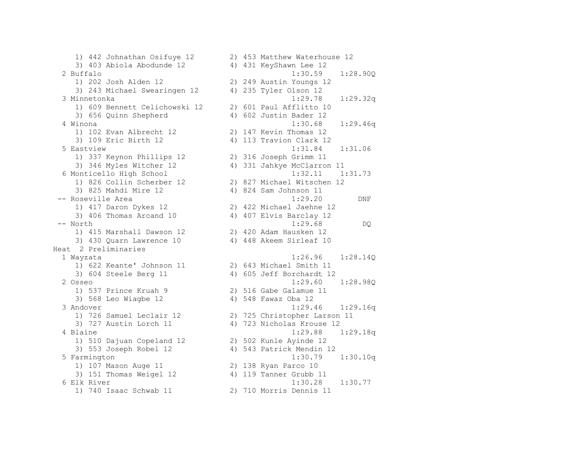3) 403 Abiola Abodunde 12 4) 431 KeyShawn Lee 12 1) 202 Josh Alden 12 2) 249 Austin Youngs 12 3) 243 Michael Swearingen 12 4) 235 Tyler Olson 12 1) 609 Bennett Celichowski 12 2) 601 Paul Afflitto 10 3) 656 Quinn Shepherd 4) 602 Justin Bader 12 1) 102 Evan Albrecht 12 2) 147 Kevin Thomas 12 3) 109 Eric Birth 12 4) 113 Travion Clark 12 1) 337 Keynon Phillips 12 2) 316 Joseph Grimm 11 3) 825 Mahdi Mire 12 4) 824 Sam Johnson 11 1) 417 Daron Dykes 12 2) 422 Michael Jaehne 12 3) 406 Thomas Arcand 10 4) 407 Elvis Barclay 12 1) 415 Marshall Dawson 12 2) 420 Adam Hausken 12 3) 430 Quarn Lawrence 10 4) 448 Akeem Sirleaf 10 Heat 2 Preliminaries 1) 622 Keante' Johnson 11 2) 643 Michael Smith 11 3) 604 Steele Berg 11 4) 605 Jeff Borchardt 12 1) 537 Prince Kruah 9 2) 516 Gabe Galamue 11 3) 568 Leo Wiagbe 12 (4) 548 Fawaz Oba 12 1) 510 Dajuan Copeland 12 2) 502 Kunle Ayinde 12 3) 553 Joseph Robel 12 4) 543 Patrick Mendin 12 1) 107 Mason Auge 11 2) 138 Ryan Parco 10 3) 151 Thomas Weigel 12 4) 119 Tanner Grubb 11

 1) 442 Johnathan Osifuye 12 2) 453 Matthew Waterhouse 12 2 Buffalo 1:30.59 1:28.90Q 3 Minnetonka 1:29.78 1:29.32q 4 Winona 1:30.68 1:29.46q 5 Eastview 1:31.84 1:31.06 3) 346 Myles Witcher 12 4) 331 Jahkye McClarron 11 6 Monticello High School 1:32.11 1:31.73 1) 826 Collin Scherber 12 2) 827 Michael Witschen 12 -- Roseville Area 1:29.20 DNF -- North 1:29.68 DQ 1 Wayzata 1:26.96 1:28.14Q 2 Osseo 1:29.60 1:28.98Q 3 Andover 1:29.46 1:29.16q 1) 726 Samuel Leclair 12 2) 725 Christopher Larson 11 3) 727 Austin Lorch 11 4) 723 Nicholas Krouse 12 4 Blaine 1:29.88 1:29.18q 5 Farmington 1:30.79 1:30.10q 6 Elk River 1:30.28 1:30.77 1) 740 Isaac Schwab 11 2) 710 Morris Dennis 11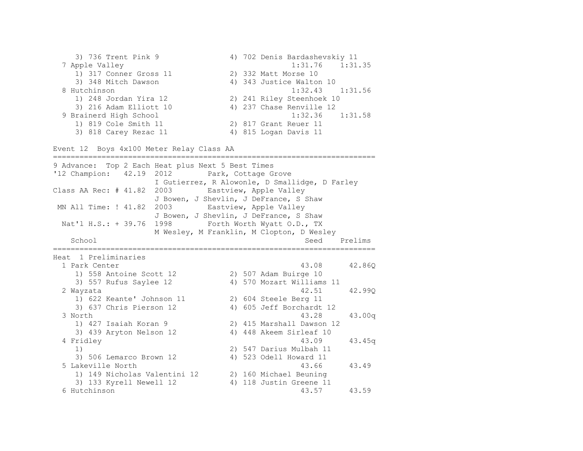3) 736 Trent Pink 9 4) 702 Denis Bardashevskiy 11 7 Apple Valley 1:31.76 1:31.35 1) 317 Conner Gross 11 2) 332 Matt Morse 10 3) 348 Mitch Dawson 4) 343 Justice Walton 10 8 Hutchinson 1:32.43 1:31.56 1) 248 Jordan Yira 12 2) 241 Riley Steenhoek 10 3) 216 Adam Elliott 10 4) 237 Chase Renville 12 9 Brainerd High School 1:32.36 1:31.58 1) 819 Cole Smith 11 2) 817 Grant Reuer 11 3) 818 Carey Rezac 11 4) 815 Logan Davis 11 Event 12 Boys 4x100 Meter Relay Class AA ========================================================================= 9 Advance: Top 2 Each Heat plus Next 5 Best Times '12 Champion: 42.19 2012 Park, Cottage Grove I Gutierrez, R Alowonle, D Smallidge, D Farley Class AA Rec: # 41.82 2003 Eastview, Apple Valley J Bowen, J Shevlin, J DeFrance, S Shaw MN All Time: ! 41.82 2003 Eastview, Apple Valley J Bowen, J Shevlin, J DeFrance, S Shaw Nat'l H.S.: + 39.76 1998 Forth Worth Wyatt O.D., TX M Wesley, M Franklin, M Clopton, D Wesley School Seed Prelims ========================================================================= Heat 1 Preliminaries 1 Park Center 43.08 42.86Q 1) 558 Antoine Scott 12 2) 507 Adam Buirge 10 3) 557 Rufus Saylee 12 4) 570 Mozart Williams 11 2 Wayzata 42.51 42.99Q 1) 622 Keante' Johnson 11 2) 604 Steele Berg 11 3) 637 Chris Pierson 12 4) 605 Jeff Borchardt 12 3 North 43.28 43.00q 1) 427 Isaiah Koran 9 2) 415 Marshall Dawson 12 3) 439 Aryton Nelson 12 4) 448 Akeem Sirleaf 10 4 Fridley 43.09 43.45q 1) 2) 547 Darius Mulbah 11 3) 506 Lemarco Brown 12 4) 523 Odell Howard 11 5 Lakeville North 43.66 43.49 1) 149 Nicholas Valentini 12 2) 160 Michael Beuning 3) 133 Kyrell Newell 12 4) 118 Justin Greene 11 6 Hutchinson 43.57 43.59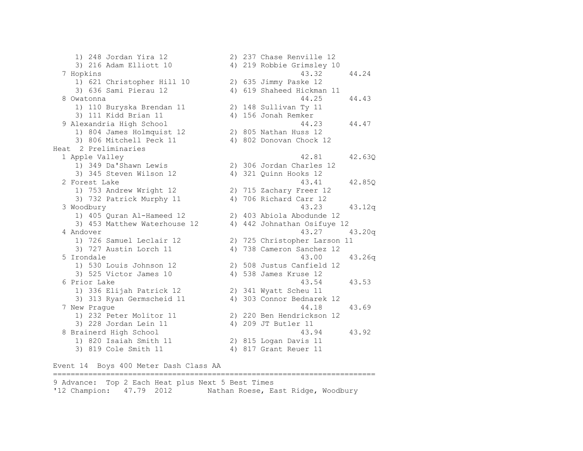1) 248 Jordan Yira 12 2) 237 Chase Renville 12 3) 216 Adam Elliott 10 4) 219 Robbie Grimsley 10 7 Hopkins 43.32 44.24 1) 621 Christopher Hill 10 2) 635 Jimmy Paske 12 3) 636 Sami Pierau 12 4) 619 Shaheed Hickman 11 8 Owatonna 44.25 44.43 1) 110 Buryska Brendan 11 2) 148 Sullivan Ty 11 3) 111 Kidd Brian 11 4) 156 Jonah Remker 9 Alexandria High School 44.23 44.47 1) 804 James Holmquist 12 2) 805 Nathan Huss 12 3) 806 Mitchell Peck 11 4) 802 Donovan Chock 12 Heat 2 Preliminaries 1 Apple Valley 42.81 42.63Q 1) 349 Da'Shawn Lewis 2) 306 Jordan Charles 12 3) 345 Steven Wilson 12 4) 321 Quinn Hooks 12 2 Forest Lake 43.41 42.85Q 1) 753 Andrew Wright 12 2) 715 Zachary Freer 12 3) 732 Patrick Murphy 11 4) 706 Richard Carr 12 3 Woodbury 43.23 43.12q 1) 405 Quran Al-Hameed 12 2) 403 Abiola Abodunde 12 3) 453 Matthew Waterhouse 12 4) 442 Johnathan Osifuye 12 4 Andover 43.27 43.20q 1) 726 Samuel Leclair 12 2) 725 Christopher Larson 11 3) 727 Austin Lorch 11 4) 738 Cameron Sanchez 12 5 Irondale 43.00 43.26q 1) 530 Louis Johnson 12 2) 508 Justus Canfield 12 3) 525 Victor James 10 4) 538 James Kruse 12 6 Prior Lake 43.54 43.53 1) 336 Elijah Patrick 12 2) 341 Wyatt Scheu 11 3) 313 Ryan Germscheid 11 4) 303 Connor Bednarek 12 7 New Prague 44.18 43.69 1) 232 Peter Molitor 11 2) 220 Ben Hendrickson 12 3) 228 Jordan Lein 11 4) 209 JT Butler 11 8 Brainerd High School 43.94 43.92 1) 820 Isaiah Smith 11 2) 815 Logan Davis 11 3) 819 Cole Smith 11 4) 817 Grant Reuer 11

Event 14 Boys 400 Meter Dash Class AA

9 Advance: Top 2 Each Heat plus Next 5 Best Times '12 Champion: 47.79 2012 Nathan Roese, East Ridge, Woodbury

=========================================================================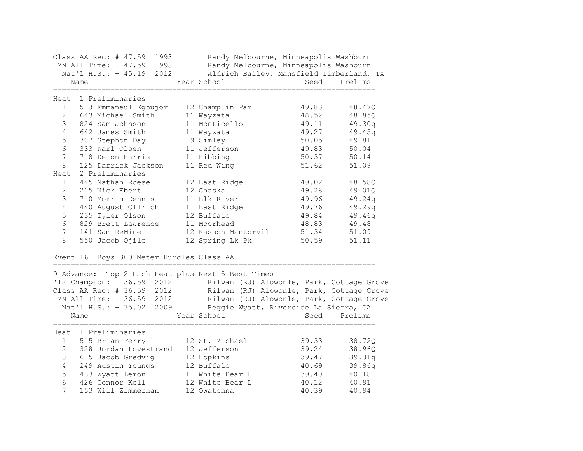|                      | Class AA Rec: # 47.59<br>1993<br>MN All Time: ! 47.59<br>1993<br>Nat'l H.S.: + 45.19<br>2012<br>Name                          | Randy Melbourne, Minneapolis Washburn<br>Randy Melbourne, Minneapolis Washburn<br>Aldrich Bailey, Mansfield Timberland, TX<br>Year School                                                                                             | Seed  | Prelims |
|----------------------|-------------------------------------------------------------------------------------------------------------------------------|---------------------------------------------------------------------------------------------------------------------------------------------------------------------------------------------------------------------------------------|-------|---------|
| Heat<br>$\mathbf{1}$ | 1 Preliminaries<br>513 Emmaneul Egbujor                                                                                       | 12 Champlin Par                                                                                                                                                                                                                       | 49.83 | 48.47Q  |
| $\overline{2}$       | 643 Michael Smith                                                                                                             | 11 Wayzata                                                                                                                                                                                                                            | 48.52 | 48.85Q  |
| 3                    | 824 Sam Johnson                                                                                                               | 11 Monticello                                                                                                                                                                                                                         | 49.11 | 49.30q  |
| 4                    | 642 James Smith                                                                                                               | 11 Wayzata                                                                                                                                                                                                                            | 49.27 | 49.45q  |
| 5                    | 307 Stephon Day                                                                                                               | 9 Simley                                                                                                                                                                                                                              | 50.05 | 49.81   |
| 6                    | 333 Karl Olsen                                                                                                                | 11 Jefferson                                                                                                                                                                                                                          | 49.83 | 50.04   |
| 7                    | 718 Deion Harris                                                                                                              | 11 Hibbing                                                                                                                                                                                                                            | 50.37 | 50.14   |
| 8                    | 125 Darrick Jackson                                                                                                           | 11 Red Wing                                                                                                                                                                                                                           | 51.62 | 51.09   |
| Heat                 | 2 Preliminaries                                                                                                               |                                                                                                                                                                                                                                       |       |         |
| $\mathbf 1$          | 445 Nathan Roese                                                                                                              | 12 East Ridge                                                                                                                                                                                                                         | 49.02 | 48.58Q  |
| 2                    | 215 Nick Ebert                                                                                                                | 12 Chaska                                                                                                                                                                                                                             | 49.28 | 49.01Q  |
| 3                    | 710 Morris Dennis                                                                                                             | 11 Elk River                                                                                                                                                                                                                          | 49.96 | 49.24q  |
| $\overline{4}$       | 440 August Ollrich                                                                                                            | 11 East Ridge                                                                                                                                                                                                                         | 49.76 | 49.29q  |
| 5                    | 235 Tyler Olson                                                                                                               | 12 Buffalo                                                                                                                                                                                                                            | 49.84 | 49.46q  |
| 6                    | 829 Brett Lawrence                                                                                                            | 11 Moorhead                                                                                                                                                                                                                           | 48.83 | 49.48   |
| 7                    | 141 Sam ReMine                                                                                                                | 12 Kasson-Mantorvil                                                                                                                                                                                                                   | 51.34 | 51.09   |
| 8                    | 550 Jacob Ojile                                                                                                               | 12 Spring Lk Pk                                                                                                                                                                                                                       | 50.59 | 51.11   |
|                      | Event 16 Boys 300 Meter Hurdles Class AA                                                                                      |                                                                                                                                                                                                                                       |       |         |
| 9 Advance:           | '12 Champion:<br>36.59 2012<br>Class AA Rec: # 36.59 2012<br>MN All Time: ! 36.59 2012<br>Nat'l H.S.: + 35.02<br>2009<br>Name | Top 2 Each Heat plus Next 5 Best Times<br>Rilwan (RJ) Alowonle, Park, Cottage Grove<br>Rilwan (RJ) Alowonle, Park, Cottage Grove<br>Rilwan (RJ) Alowonle, Park, Cottage Grove<br>Reggie Wyatt, Riverside La Sierra, CA<br>Year School | Seed  | Prelims |
|                      | Heat 1 Preliminaries                                                                                                          |                                                                                                                                                                                                                                       |       |         |
| 1                    | 515 Brian Ferry                                                                                                               | 12 St. Michael-                                                                                                                                                                                                                       | 39.33 | 38.72Q  |
| $\mathbf{2}$         | 328 Jordan Lovestrand                                                                                                         | 12 Jefferson                                                                                                                                                                                                                          | 39.24 | 38.96Q  |
| 3                    | 615 Jacob Gredvig                                                                                                             | 12 Hopkins                                                                                                                                                                                                                            | 39.47 | 39.31q  |
| 4                    | 249 Austin Youngs                                                                                                             | 12 Buffalo                                                                                                                                                                                                                            | 40.69 | 39.86q  |
| 5                    | 433 Wyatt Lemon                                                                                                               | 11 White Bear L                                                                                                                                                                                                                       | 39.40 | 40.18   |
| 6                    | 426 Connor Koll                                                                                                               | 12 White Bear L                                                                                                                                                                                                                       | 40.12 | 40.91   |
| 7                    | 153 Will Zimmernan                                                                                                            | 12 Owatonna                                                                                                                                                                                                                           | 40.39 | 40.94   |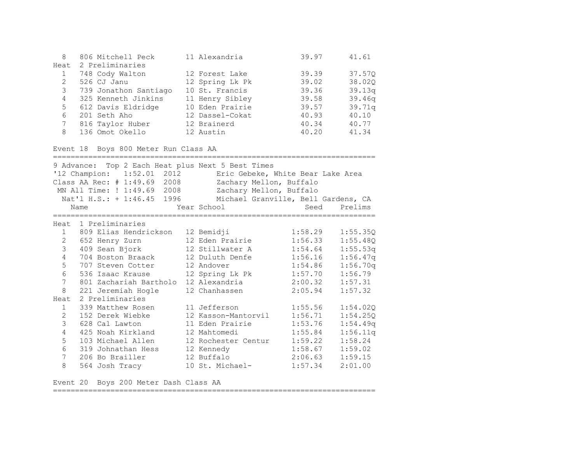| 8    | 806 Mitchell Peck     | 11 Alexandria   | 39.97 | 41.61  |
|------|-----------------------|-----------------|-------|--------|
| Heat | 2 Preliminaries       |                 |       |        |
|      | 748 Cody Walton       | 12 Forest Lake  | 39.39 | 37.570 |
|      | 526 CJ Janu           | 12 Spring Lk Pk | 39.02 | 38.020 |
| 3    | 739 Jonathon Santiago | 10 St. Francis  | 39.36 | 39.13q |
|      | 4 325 Kenneth Jinkins | 11 Henry Sibley | 39.58 | 39.46q |
| 5    | 612 Davis Eldridge    | 10 Eden Prairie | 39.57 | 39.71q |
| 6    | 201 Seth Aho          | 12 Dassel-Cokat | 40.93 | 40.10  |
|      | 816 Taylor Huber      | 12 Brainerd     | 40.34 | 40.77  |
| 8    | 136 Omot Okello       | 12 Austin       | 40.20 | 41.34  |

Event 18 Boys 800 Meter Run Class AA

========================================================================= 9 Advance: Top 2 Each Heat plus Next 5 Best Times '12 Champion: 1:52.01 2012 Eric Gebeke, White Bear Lake Area Class AA Rec: # 1:49.69 2008 Zachary Mellon, Buffalo MN All Time: ! 1:49.69 2008 Zachary Mellon, Buffalo Nat'l H.S.: + 1:46.45 1996 Michael Granville, Bell Gardens, CA Name Tear School Seed Prelims ========================================================================= Heat 1 Preliminaries 1 809 Elias Hendrickson 12 Bemidji 1:58.29 1:55.35Q 2 652 Henry Zurn 12 Eden Prairie 1:56.33 1:55.48Q 3 409 Sean Bjork 12 Stillwater A 1:54.64 1:55.53q 4 704 Boston Braack 12 Duluth Denfe 1:56.16 1:56.47q 5 707 Steven Cotter 12 Andover 1:54.86 1:56.70q 6 536 Isaac Krause 12 Spring Lk Pk 1:57.70 1:56.79 7 801 Zachariah Bartholo 12 Alexandria 2:00.32 1:57.31 8 221 Jeremiah Hogle 12 Chanhassen 2:05.94 1:57.32 Heat 2 Preliminaries 1 339 Matthew Rosen 11 Jefferson 1:55.56 1:54.02Q 2 152 Derek Wiebke 12 Kasson-Mantorvil 1:56.71 1:54.25Q 3 628 Cal Lawton 11 Eden Prairie 1:53.76 1:54.49q 4 425 Noah Kirkland 12 Mahtomedi 1:55.84 1:56.11q 5 103 Michael Allen 12 Rochester Centur 1:59.22 1:58.24 6 319 Johnathan Hess 12 Kennedy 1:58.67 1:59.02 7 206 Bo Brailler 12 Buffalo 2:06.63 1:59.15 8 564 Josh Tracy 10 St. Michael- 1:57.34 2:01.00

Event 20 Boys 200 Meter Dash Class AA

=========================================================================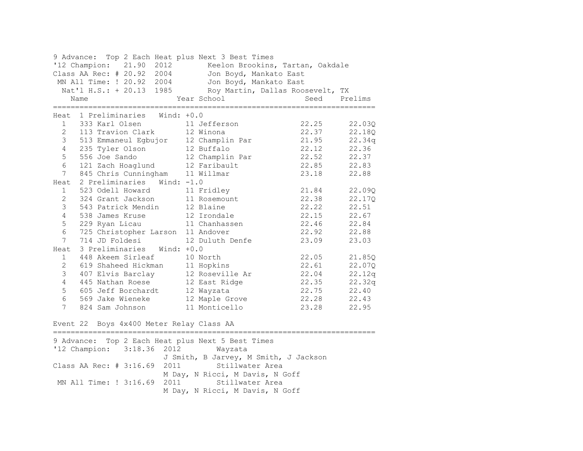9 Advance: Top 2 Each Heat plus Next 3 Best Times '12 Champion: 21.90 2012 Keelon Brookins, Tartan, Oakdale Class AA Rec: # 20.92 2004 Jon Boyd, Mankato East MN All Time: ! 20.92 2004 Jon Boyd, Mankato East Nat'l H.S.: + 20.13 1985 Roy Martin, Dallas Roosevelt, TX Name Year School Seed Prelims ========================================================================= Heat 1 Preliminaries Wind: +0.0 1 333 Karl Olsen 11 Jefferson 22.25 22.03Q 2 113 Travion Clark 12 Winona 22.37 22.18Q 3 513 Emmaneul Egbujor 12 Champlin Par 21.95 22.34q 4 235 Tyler Olson 12 Buffalo 22.12 22.36 5 556 Joe Sando 12 Champlin Par 22.52 22.37 6 121 Zach Hoaglund 12 Faribault 22.85 22.83 7 845 Chris Cunningham 11 Willmar 23.18 22.88 Heat 2 Preliminaries Wind: -1.0 1 523 Odell Howard 11 Fridley 21.84 22.09Q 2 324 Grant Jackson 11 Rosemount 22.38 22.17Q 3 543 Patrick Mendin 12 Blaine 12 22.22 22.51<br>12 Irondale 22.15 22.67 4 538 James Kruse 12 Irondale 22.15 22.67 5 229 Ryan Licau 11 Chanhassen 22.46 22.84 6 725 Christopher Larson 11 Andover 22.92 22.88 7 714 JD Foldesi 12 Duluth Denfe 23.09 23.03 Heat 3 Preliminaries Wind: +0.0 1 448 Akeem Sirleaf 10 North 22.05 21.85Q 2 619 Shaheed Hickman 11 Hopkins 22.61 22.07Q 3 407 Elvis Barclay 12 Roseville Ar 22.04 22.12q 4 445 Nathan Roese 12 East Ridge 22.35 22.32q 5 605 Jeff Borchardt 12 Wayzata 22.75 22.40 6 569 Jake Wieneke 12 Maple Grove 22.28 22.43 7 824 Sam Johnson 11 Monticello 23.28 22.95 Event 22 Boys 4x400 Meter Relay Class AA ========================================================================= 9 Advance: Top 2 Each Heat plus Next 5 Best Times '12 Champion: 3:18.36 2012 Wayzata J Smith, B Jarvey, M Smith, J Jackson Class AA Rec: # 3:16.69 2011 Stillwater Area M Day, N Ricci, M Davis, N Goff MN All Time: ! 3:16.69 2011 Stillwater Area

M Day, N Ricci, M Davis, N Goff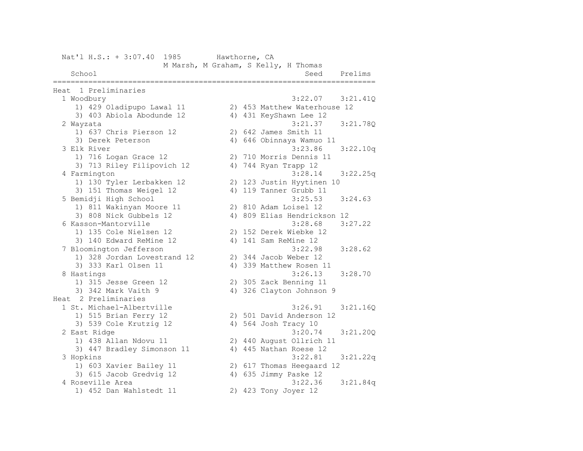| Nat'l H.S.: + 3:07.40                   | 1985                                 | Hawthorne, CA |                      |                                         |          |
|-----------------------------------------|--------------------------------------|---------------|----------------------|-----------------------------------------|----------|
|                                         | M Marsh, M Graham, S Kelly, H Thomas |               |                      |                                         |          |
| School                                  |                                      |               |                      | Seed                                    | Prelims  |
|                                         |                                      |               |                      | ------------                            |          |
| Heat 1 Preliminaries                    |                                      |               |                      |                                         |          |
| 1 Woodbury<br>1) 429 Oladipupo Lawal 11 |                                      |               |                      | 3:22.07<br>2) 453 Matthew Waterhouse 12 | 3:21.41Q |
| 3) 403 Abiola Abodunde 12               |                                      |               |                      | 4) 431 KeyShawn Lee 12                  |          |
|                                         |                                      |               |                      | 3:21.37                                 |          |
| 2 Wayzata<br>1) 637 Chris Pierson 12    |                                      |               |                      | 2) 642 James Smith 11                   | 3:21.78Q |
| 3) Derek Peterson                       |                                      |               |                      |                                         |          |
| 3 Elk River                             |                                      |               |                      | 4) 646 Obinnaya Wamuo 11<br>3:23.86     | 3:22.10q |
| 1) 716 Logan Grace 12                   |                                      |               |                      | 2) 710 Morris Dennis 11                 |          |
| 3) 713 Riley Filipovich 12              |                                      |               |                      |                                         |          |
| 4 Farmington                            |                                      |               | 4) 744 Ryan Trapp 12 | 3:28.14                                 |          |
| 1) 130 Tyler Lerbakken 12               |                                      |               |                      | 2) 123 Justin Hyytinen 10               | 3:22.25q |
| 3) 151 Thomas Weigel 12                 |                                      |               |                      | 4) 119 Tanner Grubb 11                  |          |
| 5 Bemidji High School                   |                                      |               |                      | 3:25.53                                 | 3:24.63  |
| 1) 811 Wakinyan Moore 11                |                                      |               |                      | 2) 810 Adam Loisel 12                   |          |
| 3) 808 Nick Gubbels 12                  |                                      |               |                      | 4) 809 Elias Hendrickson 12             |          |
| 6 Kasson-Mantorville                    |                                      |               |                      | 3:28.68                                 | 3:27.22  |
| 1) 135 Cole Nielsen 12                  |                                      |               |                      | 2) 152 Derek Wiebke 12                  |          |
| 3) 140 Edward ReMine 12                 |                                      |               | 4) 141 Sam ReMine 12 |                                         |          |
| 7 Bloomington Jefferson                 |                                      |               |                      | 3:22.98                                 | 3:28.62  |
| 1) 328 Jordan Lovestrand 12             |                                      |               |                      | 2) 344 Jacob Weber 12                   |          |
| 3) 333 Karl Olsen 11                    |                                      |               |                      | 4) 339 Matthew Rosen 11                 |          |
| 8 Hastings                              |                                      |               |                      | 3:26.13                                 | 3:28.70  |
| 1) 315 Jesse Green 12                   |                                      |               |                      | 2) 305 Zack Benning 11                  |          |
| 3) 342 Mark Vaith 9                     |                                      |               |                      | 4) 326 Clayton Johnson 9                |          |
| Heat 2 Preliminaries                    |                                      |               |                      |                                         |          |
| 1 St. Michael-Albertville               |                                      |               |                      | 3:26.91                                 | 3:21.16Q |
| 1) 515 Brian Ferry 12                   |                                      |               |                      | 2) 501 David Anderson 12                |          |
| 3) 539 Cole Krutzig 12                  |                                      |               | 4) 564 Josh Tracy 10 |                                         |          |
| 2 East Ridge                            |                                      |               |                      | 3:20.74                                 | 3:21.200 |
| 1) 438 Allan Ndovu 11                   |                                      |               |                      | 2) 440 August Ollrich 11                |          |
| 3) 447 Bradley Simonson 11              |                                      |               |                      | 4) 445 Nathan Roese 12                  |          |
| 3 Hopkins                               |                                      |               |                      | 3:22.81                                 | 3:21.22q |
| 1) 603 Xavier Bailey 11                 |                                      |               |                      | 2) 617 Thomas Heegaard 12               |          |
| 3) 615 Jacob Gredvig 12                 |                                      |               |                      | 4) 635 Jimmy Paske 12                   |          |
| 4 Roseville Area                        |                                      |               |                      | 3:22.36                                 | 3:21.84q |
| 1) 452 Dan Wahlstedt 11                 |                                      |               | 2) 423 Tony Joyer 12 |                                         |          |
|                                         |                                      |               |                      |                                         |          |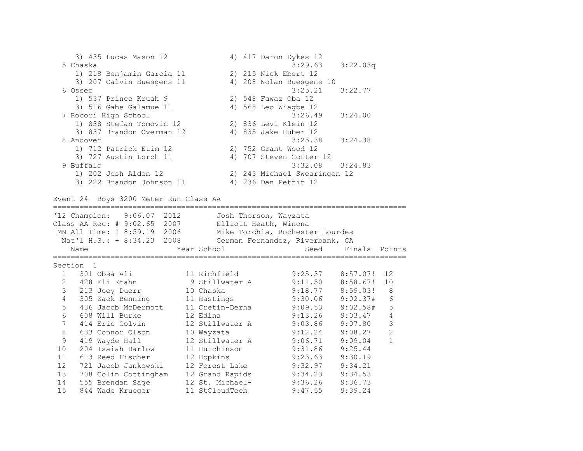3) 435 Lucas Mason 12 4) 417 Daron Dykes 12 5 Chaska 3:29.63 3:22.03q 1) 218 Benjamin Garcia 11 2) 215 Nick Ebert 12 3) 207 Calvin Buesgens 11 4) 208 Nolan Buesgens 10 6 Osseo 3:25.21 3:22.77 1) 537 Prince Kruah 9 2) 548 Fawaz Oba 12 3) 516 Gabe Galamue 11 4) 568 Leo Wiagbe 12 7 Rocori High School 3:26.49 3:24.00 1) 838 Stefan Tomovic 12 2) 836 Levi Klein 12 3) 837 Brandon Overman 12 4) 835 Jake Huber 12 8 Andover 3:25.38 3:24.38 1) 712 Patrick Etim 12 2) 752 Grant Wood 12 3) 727 Austin Lorch 11 4) 707 Steven Cotter 12 9 Buffalo 3:32.08 3:24.83 1) 202 Josh Alden 12 2) 243 Michael Swearingen 12 3) 222 Brandon Johnson 11 4) 236 Dan Pettit 12

Event 24 Boys 3200 Meter Run Class AA

================================================================================ '12 Champion: 9:06.07 2012 Josh Thorson, Wayzata Class AA Rec: # 9:02.65 2007 Elliott Heath, Winona MN All Time: ! 8:59.19 2006 Mike Torchia, Rochester Lourdes Nat'l H.S.: + 8:34.23 2008 German Fernandez, Riverbank, CA Name Year School Seed Finals Points ================================================================================ Section 1 1 301 Obsa Ali 11 Richfield 9:25.37 8:57.07! 12 2 428 Eli Krahn 9 Stillwater A 9:11.50 8:58.67! 10 3 213 Joey Duerr 10 Chaska 9:18.77 8:59.03! 8 4 305 Zack Benning 11 Hastings 9:30.06 9:02.37# 6 5 436 Jacob McDermott 11 Cretin-Derha 9:09.53 9:02.58# 5 6 608 Will Burke 12 Edina 9:13.26 9:03.47 4 7 414 Eric Colvin 12 Stillwater A 9:03.86 9:07.80 3 8 633 Connor Olson 10 Wayzata 9:12.24 9:08.27 2 9 419 Wayde Hall 12 Stillwater A 9:06.71 9:09.04 1 10 204 Isaiah Barlow 11 Hutchinson 9:31.86 9:25.44 11 613 Reed Fischer 12 Hopkins 9:23.63 9:30.19 12 721 Jacob Jankowski 12 Forest Lake 9:32.97 9:34.21 13 708 Colin Cottingham 12 Grand Rapids 9:34.23 9:34.53 14 555 Brendan Sage 12 St. Michael- 9:36.26 9:36.73 15 844 Wade Krueger 11 StCloudTech 9:47.55 9:39.24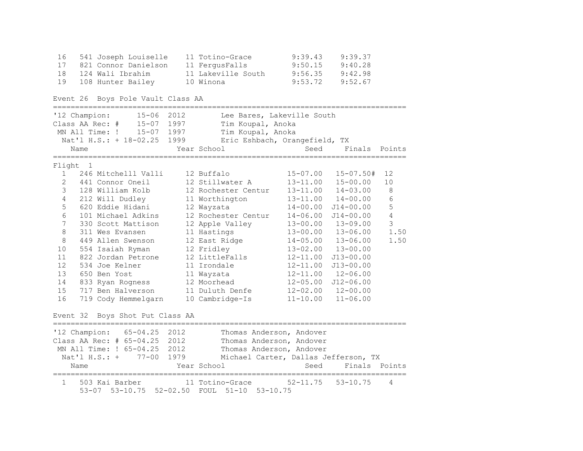|    | 16 541 Joseph Louiselle | 11 Totino-Grace    | 9:39.43 | 9:39.37 |
|----|-------------------------|--------------------|---------|---------|
| 17 | 821 Connor Danielson    | 11 FergusFalls     | 9:50.15 | 9:40.28 |
|    | 18 124 Wali Ibrahim     | 11 Lakeville South | 9:56.35 | 9:42.98 |
| 19 | 108 Hunter Bailey       | 10 Winona          | 9:53.72 | 9:52.67 |

Event 26 Boys Pole Vault Class AA

================================================================================ '12 Champion: 15-06 2012 Lee Bares, Lakeville South Class AA Rec: # 15-07 1997 Tim Koupal, Anoka MN All Time: ! 15-07 1997 Tim Koupal, Anoka Nat'l H.S.: + 18-02.25 1999 Eric Eshbach, Orangefield, TX Name Seed Finals Points ================================================================================ Flight 1 1 246 Mitchelll Valli 12 Buffalo 15-07.00 15-07.50# 12 2 441 Connor Oneil 12 Stillwater A 13-11.00 15-00.00 10 3 128 William Kolb 12 Rochester Centur 13-11.00 14-03.00 8 4 212 Will Dudley 11 Worthington 13-11.00 14-00.00 6 5 620 Eddie Hidani 12 Wayzata 14-00.00 J14-00.00 5 6 101 Michael Adkins 12 Rochester Centur 14-06.00 J14-00.00 4 7 330 Scott Mattison 12 Apple Valley 13-00.00 13-09.00 3 8 311 Wes Evansen 11 Hastings 13-00.00 13-06.00 1.50 8 449 Allen Swenson 12 East Ridge 14-05.00 13-06.00 1.50 10 554 Isaiah Ryman 12 Fridley 13-02.00 13-00.00 11 822 Jordan Petrone 12 LittleFalls 12-11.00 J13-00.00 12 534 Joe Kelner 11 Irondale 12-11.00 J13-00.00 13 650 Ben Yost 11 Wayzata 12-11.00 12-06.00 14 833 Ryan Rogness 12 Moorhead 12-05.00 J12-06.00 15 717 Ben Halverson 11 Duluth Denfe 12-02.00 12-00.00 16 719 Cody Hemmelgarn 10 Cambridge-Is 11-10.00 11-06.00 Event 32 Boys Shot Put Class AA ================================================================================ '12 Champion: 65-04.25 2012 Thomas Anderson, Andover Class AA Rec: # 65-04.25 2012 Thomas Anderson, Andover MN All Time: ! 65-04.25 2012 Thomas Anderson, Andover Nat'l H.S.: + 77-00 1979 Michael Carter, Dallas Jefferson, TX Name The Year School Seed Finals Points ================================================================================ 1 503 Kai Barber 11 Totino-Grace 52-11.75 53-10.75 4 53-07 53-10.75 52-02.50 FOUL 51-10 53-10.75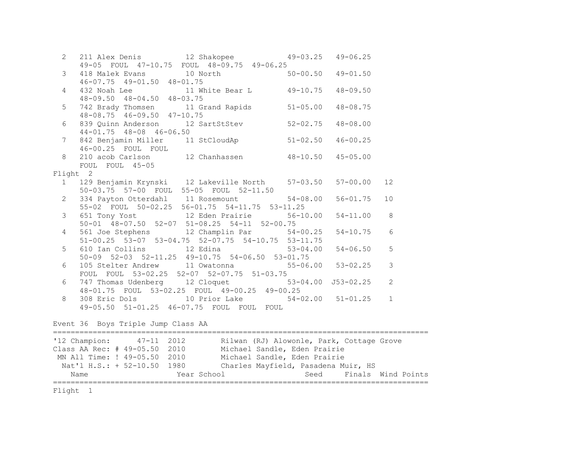| $2\overline{ }$ |                                                                                                                      |                |               |
|-----------------|----------------------------------------------------------------------------------------------------------------------|----------------|---------------|
|                 | 211 Alex Denis 12 Shakopee 49-03.25 49-06.25<br>49-05 FOUL 47-10.75 FOUL 48-09.75 49-06.25                           |                |               |
| 3 <sup>7</sup>  | 418 Malek Evans 10 North 50-00.50 49-01.50<br>46-07.75 49-01.50 48-01.75                                             |                |               |
|                 | $46 - 07.75$ $49 - 01.50$ $48 - 01.75$                                                                               |                |               |
| $\overline{4}$  | 432 Noah Lee 11 White Bear L 49-10.75 48-09.50<br>48-09.50 48-04.50 48-03.75                                         |                |               |
|                 |                                                                                                                      |                |               |
| 5               | 742 Brady Thomsen 11 Grand Rapids 51-05.00                                                                           | $48 - 08.75$   |               |
|                 | $48 - 08.75$ $46 - 09.50$ $47 - 10.75$                                                                               |                |               |
| 6               | 839 Quinn Anderson 12 SartStStev 52-02.75 48-08.00                                                                   |                |               |
|                 | $44 - 01.75$ $48 - 08$ $46 - 06.50$                                                                                  |                |               |
| 7 <sup>7</sup>  | 842 Benjamin Miller 11 StCloudAp 51-02.50                                                                            | $46 - 00.25$   |               |
|                 | 46-00.25 FOUL FOUL                                                                                                   |                |               |
| 8               | 210 acob Carlson 12 Chanhassen 48-10.50 45-05.00                                                                     |                |               |
|                 | FOUL FOUL 45-05                                                                                                      |                |               |
|                 | Flight 2                                                                                                             |                |               |
|                 | 1 129 Benjamin Krynski 12 Lakeville North 57-03.50 57-00.00                                                          |                | 12            |
|                 | 50-03.75 57-00 FOUL 55-05 FOUL 52-11.50                                                                              |                |               |
| $2^{\circ}$     | 334 Payton Otterdahl 11 Rosemount 54-08.00                                                                           | $56 - 01.75$   | 10            |
|                 | 55-02 FOUL 50-02.25 56-01.75 54-11.75 53-11.25                                                                       |                |               |
| 3 <sup>7</sup>  | 651 Tony Yost $12$ Eden Prairie $56-10.00$<br>50-01 48-07.50 52-07 51-08.25 54-11 52-00.75<br>561 Joe Sterbors 10.00 | $54 - 11.00$ 8 |               |
|                 |                                                                                                                      |                |               |
| $\overline{4}$  | 561 Joe Stephens 12 Champlin Par 54-00.25                                                                            | $54 - 10.75$   | 6             |
|                 | 51-00.25 53-07 53-04.75 52-07.75 54-10.75 53-11.75                                                                   |                |               |
| 5               | 610 Ian Collins 12 Edina 53-04.00                                                                                    | $54 - 06.50$   | 5             |
|                 | 50-09 52-03 52-11.25 49-10.75 54-06.50 53-01.75                                                                      |                |               |
| 6               | 105 Stelter Andrew 11 Owatonna 55-06.00 53-02.25                                                                     |                | $\mathcal{S}$ |
|                 | FOUL FOUL 53-02.25 52-07 52-07.75 51-03.75                                                                           |                |               |
| 6               | 747 Thomas Udenberg 12 Cloquet 53-04.00 J53-02.25<br>48-01.75 FOUL 53-02.25 FOUL 49-00.25 49-00.25                   |                | 2             |
|                 |                                                                                                                      |                |               |
| 8               | 308 Eric Dols 10 Prior Lake 54-02.00 51-01.25                                                                        |                | $\mathbf{1}$  |
|                 | 49-05.50 51-01.25 46-07.75 FOUL FOUL FOUL                                                                            |                |               |
|                 |                                                                                                                      |                |               |
|                 | Event 36 Boys Triple Jump Class AA                                                                                   |                |               |
|                 |                                                                                                                      |                |               |

===================================================================================== '12 Champion: 47-11 2012 Rilwan (RJ) Alowonle, Park, Cottage Grove<br>Class AA Rec: # 49-05.50 2010 Michael Sandle, Eden Prairie Michael Sandle, Eden Prairie MN All Time: ! 49-05.50 2010 Michael Sandle, Eden Prairie Nat'l H.S.: + 52-10.50 1980 Charles Mayfield, Pasadena Muir, HS Name Sear School Seed Finals Wind Points =====================================================================================

Flight 1